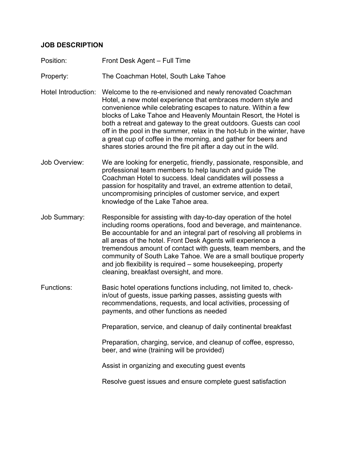## **JOB DESCRIPTION**

- Position: Front Desk Agent Full Time
- Property: The Coachman Hotel, South Lake Tahoe
- Hotel Introduction: Welcome to the re-envisioned and newly renovated Coachman Hotel, a new motel experience that embraces modern style and convenience while celebrating escapes to nature. Within a few blocks of Lake Tahoe and Heavenly Mountain Resort, the Hotel is both a retreat and gateway to the great outdoors. Guests can cool off in the pool in the summer, relax in the hot-tub in the winter, have a great cup of coffee in the morning, and gather for beers and shares stories around the fire pit after a day out in the wild.
- Job Overview: We are looking for energetic, friendly, passionate, responsible, and professional team members to help launch and guide The Coachman Hotel to success. Ideal candidates will possess a passion for hospitality and travel, an extreme attention to detail, uncompromising principles of customer service, and expert knowledge of the Lake Tahoe area.
- Job Summary: Responsible for assisting with day-to-day operation of the hotel including rooms operations, food and beverage, and maintenance. Be accountable for and an integral part of resolving all problems in all areas of the hotel. Front Desk Agents will experience a tremendous amount of contact with guests, team members, and the community of South Lake Tahoe. We are a small boutique property and job flexibility is required – some housekeeping, property cleaning, breakfast oversight, and more.
- Functions: Basic hotel operations functions including, not limited to, checkin/out of guests, issue parking passes, assisting guests with recommendations, requests, and local activities, processing of payments, and other functions as needed

Preparation, service, and cleanup of daily continental breakfast

Preparation, charging, service, and cleanup of coffee, espresso, beer, and wine (training will be provided)

Assist in organizing and executing guest events

Resolve guest issues and ensure complete guest satisfaction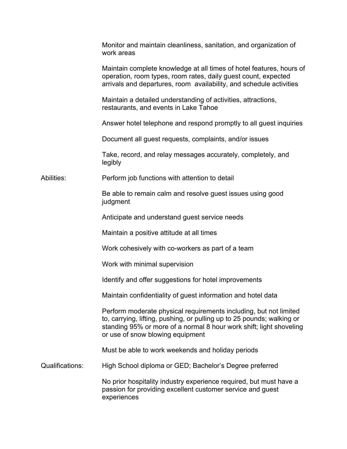|                 | Monitor and maintain cleanliness, sanitation, and organization of<br>work areas                                                                                                                                                                        |
|-----------------|--------------------------------------------------------------------------------------------------------------------------------------------------------------------------------------------------------------------------------------------------------|
|                 | Maintain complete knowledge at all times of hotel features, hours of<br>operation, room types, room rates, daily guest count, expected<br>arrivals and departures, room availability, and schedule activities                                          |
|                 | Maintain a detailed understanding of activities, attractions,<br>restaurants, and events in Lake Tahoe                                                                                                                                                 |
|                 | Answer hotel telephone and respond promptly to all guest inquiries                                                                                                                                                                                     |
|                 | Document all guest requests, complaints, and/or issues                                                                                                                                                                                                 |
|                 | Take, record, and relay messages accurately, completely, and<br>legibly                                                                                                                                                                                |
| Abilities:      | Perform job functions with attention to detail                                                                                                                                                                                                         |
|                 | Be able to remain calm and resolve guest issues using good<br>judgment                                                                                                                                                                                 |
|                 | Anticipate and understand guest service needs                                                                                                                                                                                                          |
|                 | Maintain a positive attitude at all times                                                                                                                                                                                                              |
|                 | Work cohesively with co-workers as part of a team                                                                                                                                                                                                      |
|                 | Work with minimal supervision                                                                                                                                                                                                                          |
|                 | Identify and offer suggestions for hotel improvements                                                                                                                                                                                                  |
|                 | Maintain confidentiality of guest information and hotel data                                                                                                                                                                                           |
|                 | Perform moderate physical requirements including, but not limited<br>to, carrying, lifting, pushing, or pulling up to 25 pounds; walking or<br>standing 95% or more of a normal 8 hour work shift; light shoveling<br>or use of snow blowing equipment |
|                 | Must be able to work weekends and holiday periods                                                                                                                                                                                                      |
| Qualifications: | High School diploma or GED; Bachelor's Degree preferred                                                                                                                                                                                                |
|                 | No prior hospitality industry experience required, but must have a<br>passion for providing excellent customer service and guest<br>experiences                                                                                                        |